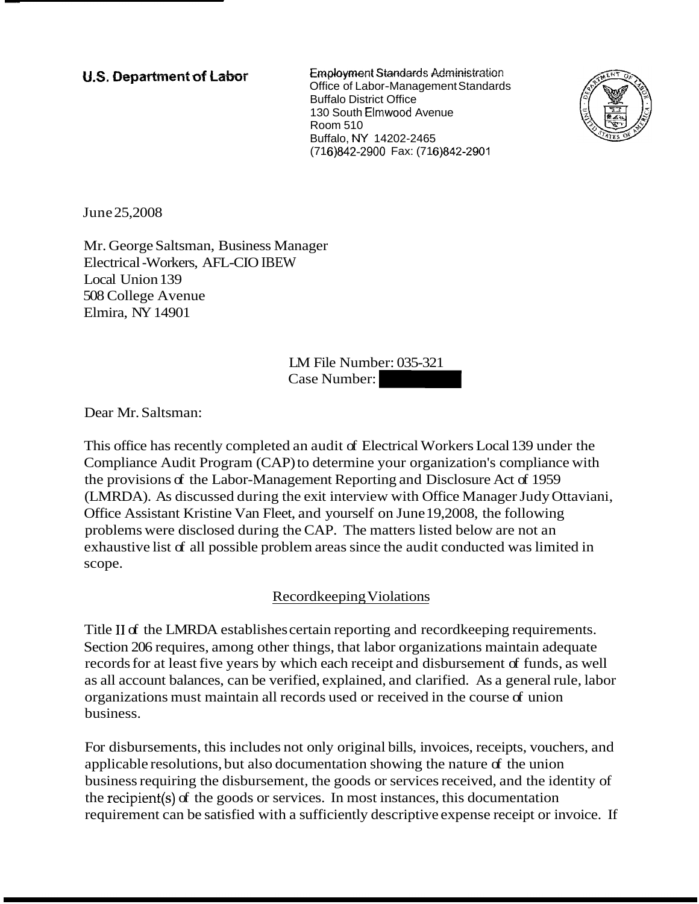**U.S. Department of Labor Employment Standards Administration** Office of Labor-Management Standards Buffalo District Office 130 South Elrnwood Avenue Room 510 Buffalo, NY 14202-2465 (716)842-2900 Fax: (716)842-2901



June 25,2008

Mr. George Saltsman, Business Manager Electrical -Workers, AFL-CIO IBEW Local Union 139 508 College Avenue Elmira, NY 14901

LM File Number: 035-321 2016)842-2900 Fax: (716)842-2901<br>
(716)842-2900 Fax: (716)842-2901<br>
W<br>
LM File Number: 035-321<br>
Case Number:

Dear Mr. Saltsman:

This office has recently completed an audit of Electrical Workers Local 139 under the Compliance Audit Program (CAP) to determine your organization's compliance with the provisions of the Labor-Management Reporting and Disclosure Act of 1959 (LMRDA). As discussed during the exit interview with Office Manager Judy Ottaviani, Office Assistant Kristine Van Fleet, and yourself on June 19,2008, the following problems were disclosed during the CAP. The matters listed below are not an exhaustive list of all possible problem areas since the audit conducted was limited in scope.

## Recordkeeping Violations

Title II of the LMRDA establishes certain reporting and record keeping requirements. Section 206 requires, among other things, that labor organizations maintain adequate records for at least five years by which each receipt and disbursement of funds, as well as all account balances, can be verified, explained, and clarified. As a general rule, labor organizations must maintain all records used or received in the course of union business.

For disbursements, this includes not only original bills, invoices, receipts, vouchers, and applicable resolutions, but also documentation showing the nature of the union business requiring the disbursement, the goods or services received, and the identity of the recipient(s) of the goods or services. In most instances, this documentation requirement can be satisfied with a sufficiently descriptive expense receipt or invoice. If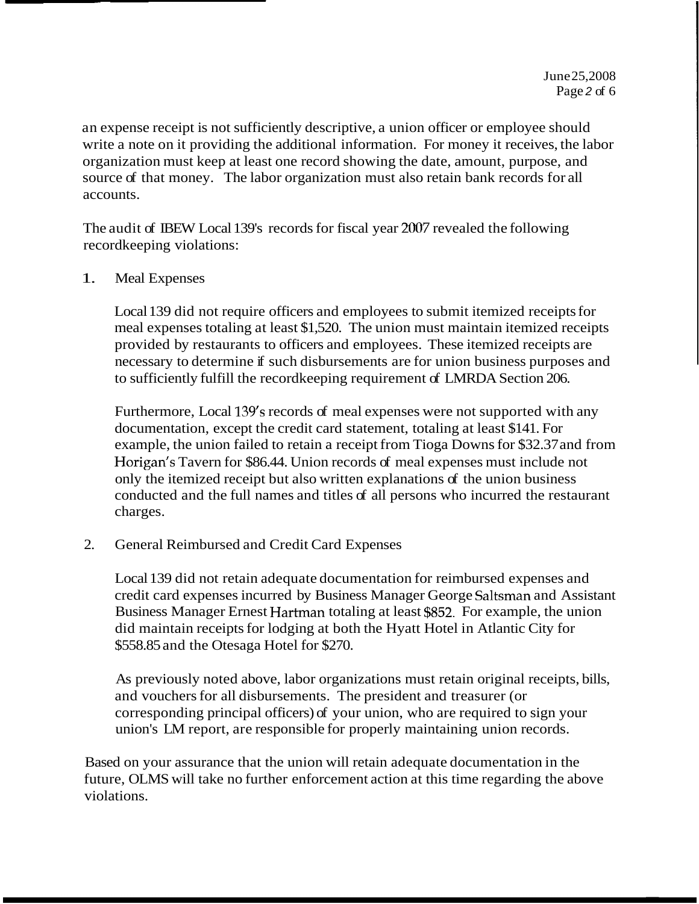an expense receipt is not sufficiently descriptive, a union officer or employee should write a note on it providing the additional information. For money it receives, the labor organization must keep at least one record showing the date, amount, purpose, and source of that money. The labor organization must also retain bank records for all accounts.

The audit of IBEW Local 139's records for fiscal year 2007 revealed the following recordkeeping violations:

### 1. Meal Expenses

Local 139 did not require officers and employees to submit itemized receipts for meal expenses totaling at least \$1,520. The union must maintain itemized receipts provided by restaurants to officers and employees. These itemized receipts are necessary to determine if such disbursements are for union business purposes and to sufficiently fulfill the recordkeeping requirement of LMRDA Section 206.

Furthermore, Local 139's records of meal expenses were not supported with any documentation, except the credit card statement, totaling at least \$141. For example, the union failed to retain a receipt from Tioga Downs for \$32.37 and from Horigan's Tavern for \$86.44. Union records of meal expenses must include not only the itemized receipt but also written explanations of the union business conducted and the full names and titles of all persons who incurred the restaurant charges.

2. General Reimbursed and Credit Card Expenses

Local 139 did not retain adequate documentation for reimbursed expenses and credit card expenses incurred by Business Manager George Saltsman and Assistant Business Manager Ernest Hartrnan totaling at least \$852. For example, the union did maintain receipts for lodging at both the Hyatt Hotel in Atlantic City for \$558.85 and the Otesaga Hotel for \$270.

As previously noted above, labor organizations must retain original receipts, bills, and vouchers for all disbursements. The president and treasurer (or corresponding principal officers) of your union, who are required to sign your union's LM report, are responsible for properly maintaining union records.

Based on your assurance that the union will retain adequate documentation in the future, OLMS will take no further enforcement action at this time regarding the above violations.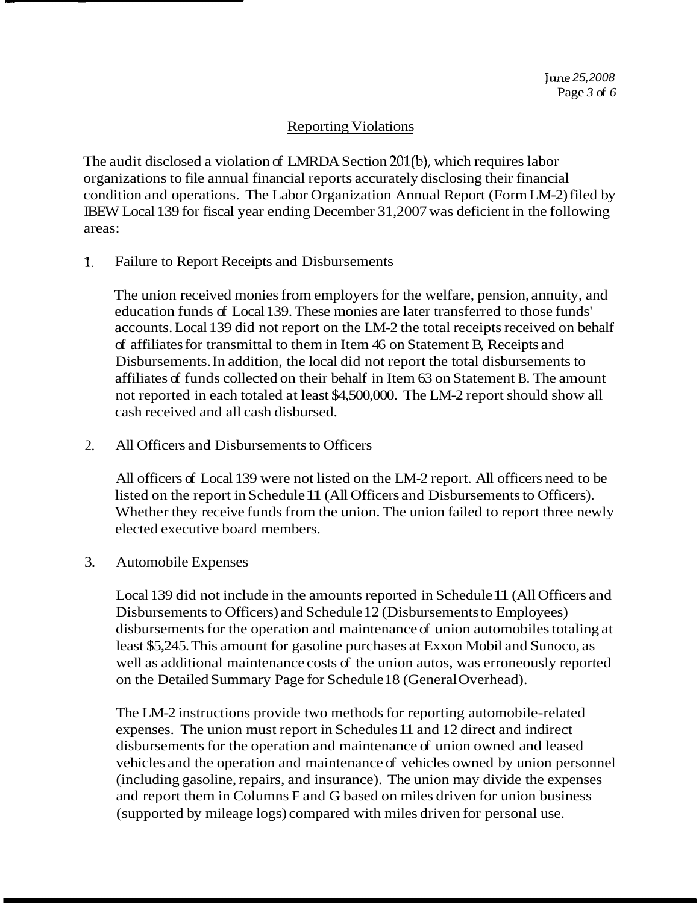# Reporting Violations

The audit disclosed a violation of LMRDA Section 201(b), which requires labor organizations to file annual financial reports accurately disclosing their financial condition and operations. The Labor Organization Annual Report (Form LM-2) filed by IBEW Local 139 for fiscal year ending December 31,2007 was deficient in the following areas:

I. Failure to Report Receipts and Disbursements

The union received monies from employers for the welfare, pension, annuity, and education funds of Local 139. These monies are later transferred to those funds' accounts. Local 139 did not report on the LM-2 the total receipts received on behalf of affiliates for transmittal to them in Item 46 on Statement B, Receipts and Disbursements. In addition, the local did not report the total disbursements to affiliates of funds collected on their behalf in Item 63 on Statement B. The amount not reported in each totaled at least \$4,500,000. The LM-2 report should show all cash received and all cash disbursed.

2. All Officers and Disbursements to Officers

All officers of Local 139 were not listed on the LM-2 report. All officers need to be listed on the report in Schedule 11 (All Officers and Disbursements to Officers). Whether they receive funds from the union. The union failed to report three newly elected executive board members.

## 3. Automobile Expenses

Local 139 did not include in the amounts reported in Schedule 11 (All Officers and Disbursements to Officers) and Schedule 12 (Disbursements to Employees) disbursements for the operation and maintenance of union automobiles totaling at least \$5,245. This amount for gasoline purchases at Exxon Mobil and Sunoco, as well as additional maintenance costs of the union autos, was erroneously reported on the Detailed Summary Page for Schedule 18 (General Overhead).

The LM-2 instructions provide two methods for reporting automobile-related expenses. The union must report in Schedules 11 and 12 direct and indirect disbursements for the operation and maintenance of union owned and leased vehicles and the operation and maintenance of vehicles owned by union personnel (including gasoline, repairs, and insurance). The union may divide the expenses and report them in Columns F and G based on miles driven for union business (supported by mileage logs) compared with miles driven for personal use.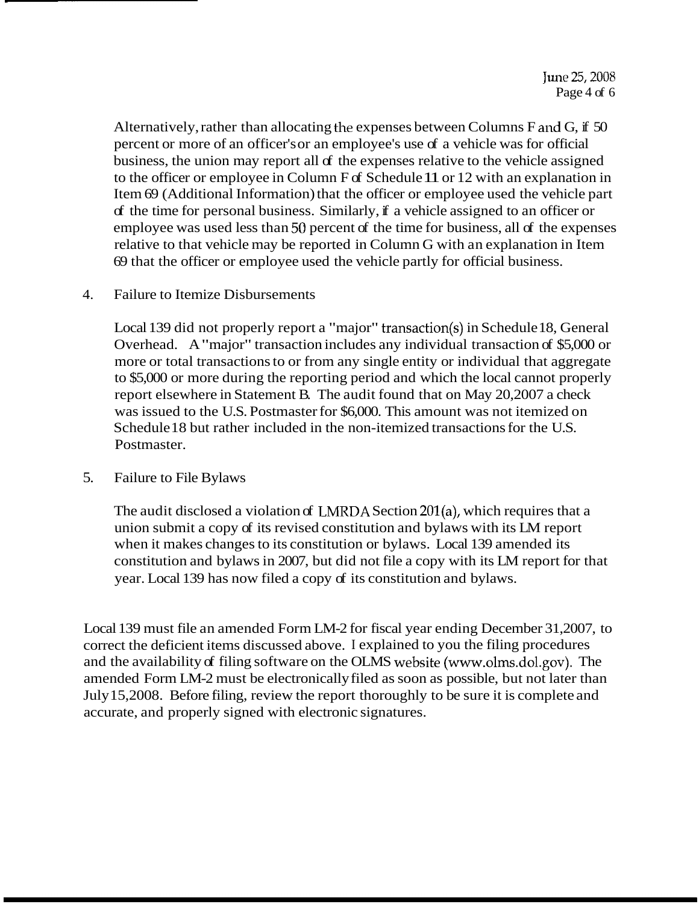Alternatively, rather than allocating the expenses between Columns F and G, if 50 percent or more of an officer's or an employee's use of a vehicle was for official business, the union may report all of the expenses relative to the vehicle assigned to the officer or employee in Column F of Schedule 11 or 12 with an explanation in Item 69 (Additional Information) that the officer or employee used the vehicle part of the time for personal business. Similarly, if a vehicle assigned to an officer or employee was used less than 50 percent of the time for business, all of the expenses relative to that vehicle may be reported in Column G with an explanation in Item 69 that the officer or employee used the vehicle partly for official business.

### 4. Failure to Itemize Disbursements

Local 139 did not properly report a "major" transaction(s) in Schedule 18, General Overhead. A "major" transaction includes any individual transaction of \$5,000 or more or total transactions to or from any single entity or individual that aggregate to \$5,000 or more during the reporting period and which the local cannot properly report elsewhere in Statement B. The audit found that on May 20,2007 a check was issued to the U.S. Postmaster for \$6,000. This amount was not itemized on Schedule 18 but rather included in the non-itemized transactions for the U.S. Postmaster.

## 5. Failure to File Bylaws

The audit disclosed a violation of LNIRDA Section 201(a), which requires that a union submit a copy of its revised constitution and bylaws with its LM report when it makes changes to its constitution or bylaws. Local 139 amended its constitution and bylaws in 2007, but did not file a copy with its LM report for that year. Local 139 has now filed a copy of its constitution and bylaws.

Local 139 must file an amended Form LM-2 for fiscal year ending December 31,2007, to correct the deficient items discussed above. I explained to you the filing procedures and the availability of filing software on the OLMS website (www.olms.dol.gov). The amended Form LM-2 must be electronically filed as soon as possible, but not later than July 15,2008. Before filing, review the report thoroughly to be sure it is complete and accurate, and properly signed with electronic signatures.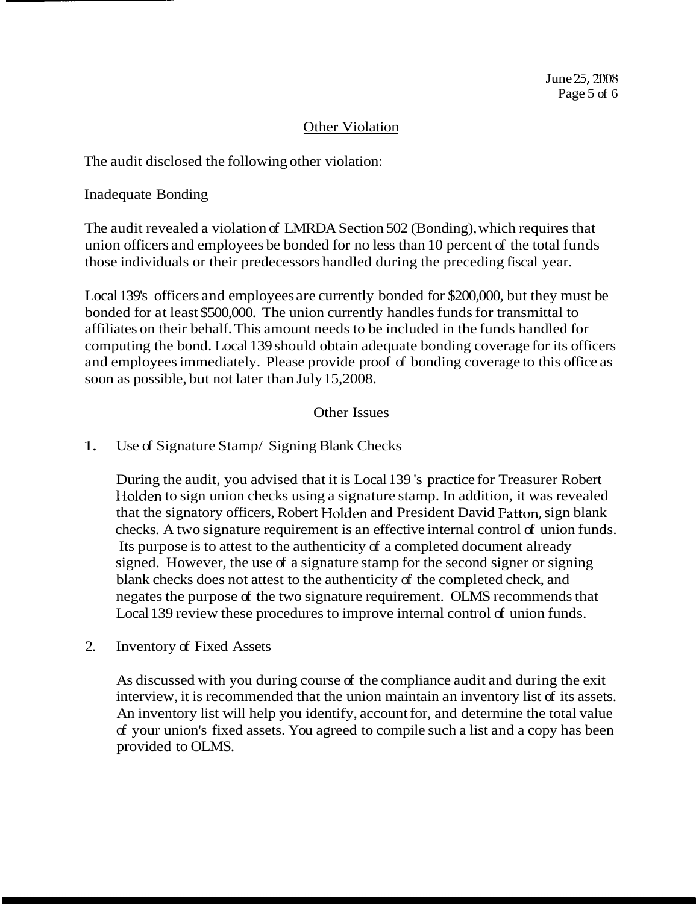# Other Violation

The audit disclosed the following other violation:

Inadequate Bonding

The audit revealed a violation of LMRDA Section 502 (Bonding), which requires that union officers and employees be bonded for no less than 10 percent of the total funds those individuals or their predecessors handled during the preceding fiscal year.

Local 139's officers and employees are currently bonded for \$200,000, but they must be bonded for at least \$500,000. The union currently handles funds for transmittal to affiliates on their behalf. This amount needs to be included in the funds handled for computing the bond. Local 139 should obtain adequate bonding coverage for its officers and employees immediately. Please provide proof of bonding coverage to this office as soon as possible, but not later than July 15,2008.

## Other Issues

## 1. Use of Signature Stamp/ Signing Blank Checks

During the audit, you advised that it is Local 139 's practice for Treasurer Robert Holden to sign union checks using a signature stamp. In addition, it was revealed that the signatory officers, Robert Holden and President David Patton, sign blank checks. A two signature requirement is an effective internal control of union funds. Its purpose is to attest to the authenticity of a completed document already signed. However, the use of a signature stamp for the second signer or signing blank checks does not attest to the authenticity of the completed check, and negates the purpose of the two signature requirement. OLMS recommends that Local 139 review these procedures to improve internal control of union funds.

2. Inventory of Fixed Assets

As discussed with you during course of the compliance audit and during the exit interview, it is recommended that the union maintain an inventory list of its assets. An inventory list will help you identify, account for, and determine the total value of your union's fixed assets. You agreed to compile such a list and a copy has been provided to OLMS.